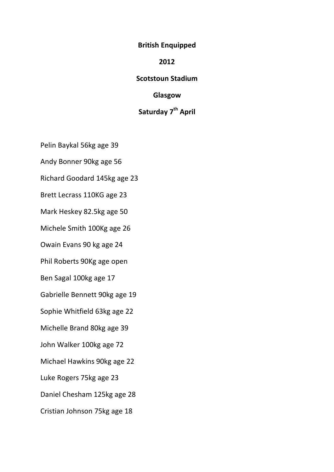**British Enquipped**

## **2012**

## **Scotstoun Stadium**

## **Glasgow**

## **Saturday 7th April**

Pelin Baykal 56kg age 39

Andy Bonner 90kg age 56

Richard Goodard 145kg age 23

Brett Lecrass 110KG age 23

Mark Heskey 82.5kg age 50

Michele Smith 100Kg age 26

Owain Evans 90 kg age 24

Phil Roberts 90Kg age open

Ben Sagal 100kg age 17

Gabrielle Bennett 90kg age 19

Sophie Whitfield 63kg age 22

Michelle Brand 80kg age 39

John Walker 100kg age 72

Michael Hawkins 90kg age 22

Luke Rogers 75kg age 23

Daniel Chesham 125kg age 28

Cristian Johnson 75kg age 18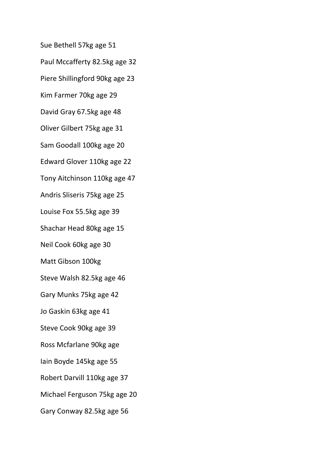Sue Bethell 57kg age 51

Paul Mccafferty 82.5kg age 32

Piere Shillingford 90kg age 23

Kim Farmer 70kg age 29

David Gray 67.5kg age 48

Oliver Gilbert 75kg age 31

Sam Goodall 100kg age 20

Edward Glover 110kg age 22

Tony Aitchinson 110kg age 47

Andris Sliseris 75kg age 25

Louise Fox 55.5kg age 39

Shachar Head 80kg age 15

Neil Cook 60kg age 30

Matt Gibson 100kg

Steve Walsh 82.5kg age 46

Gary Munks 75kg age 42

Jo Gaskin 63kg age 41

Steve Cook 90kg age 39

Ross Mcfarlane 90kg age

Iain Boyde 145kg age 55

Robert Darvill 110kg age 37

Michael Ferguson 75kg age 20

Gary Conway 82.5kg age 56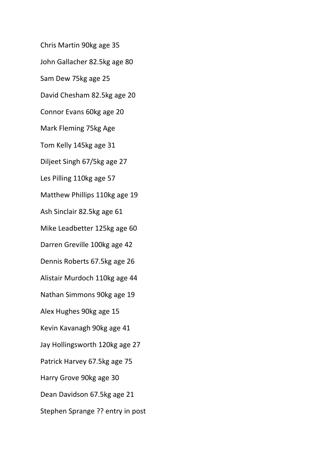Chris Martin 90kg age 35

John Gallacher 82.5kg age 80

Sam Dew 75kg age 25

David Chesham 82.5kg age 20

Connor Evans 60kg age 20

Mark Fleming 75kg Age

Tom Kelly 145kg age 31

Diljeet Singh 67/5kg age 27

Les Pilling 110kg age 57

Matthew Phillips 110kg age 19

Ash Sinclair 82.5kg age 61

Mike Leadbetter 125kg age 60

Darren Greville 100kg age 42

Dennis Roberts 67.5kg age 26

Alistair Murdoch 110kg age 44

Nathan Simmons 90kg age 19

Alex Hughes 90kg age 15

Kevin Kavanagh 90kg age 41

Jay Hollingsworth 120kg age 27

Patrick Harvey 67.5kg age 75

Harry Grove 90kg age 30

Dean Davidson 67.5kg age 21

Stephen Sprange ?? entry in post